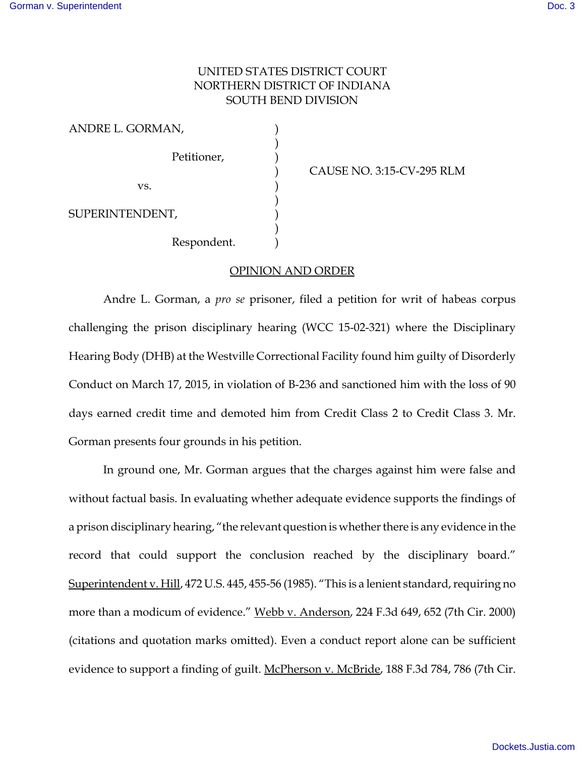## UNITED STATES DISTRICT COURT NORTHERN DISTRICT OF INDIANA SOUTH BEND DIVISION

| ANDRE L. GORMAN, |             |  |
|------------------|-------------|--|
|                  | Petitioner, |  |
| VS.              |             |  |
| SUPERINTENDENT,  |             |  |
|                  | Respondent. |  |

) CAUSE NO. 3:15-CV-295 RLM

OPINION AND ORDER

Andre L. Gorman, a *pro se* prisoner, filed a petition for writ of habeas corpus challenging the prison disciplinary hearing (WCC 15-02-321) where the Disciplinary Hearing Body (DHB) at the Westville Correctional Facility found him guilty of Disorderly Conduct on March 17, 2015, in violation of B-236 and sanctioned him with the loss of 90 days earned credit time and demoted him from Credit Class 2 to Credit Class 3. Mr. Gorman presents four grounds in his petition.

In ground one, Mr. Gorman argues that the charges against him were false and without factual basis. In evaluating whether adequate evidence supports the findings of a prison disciplinary hearing, "the relevant question is whether there is any evidence in the record that could support the conclusion reached by the disciplinary board." Superintendent v. Hill, 472 U.S. 445, 455-56 (1985). "This is a lenient standard, requiring no more than a modicum of evidence." Webb v. Anderson, 224 F.3d 649, 652 (7th Cir. 2000) (citations and quotation marks omitted). Even a conduct report alone can be sufficient evidence to support a finding of guilt. McPherson v. McBride, 188 F.3d 784, 786 (7th Cir.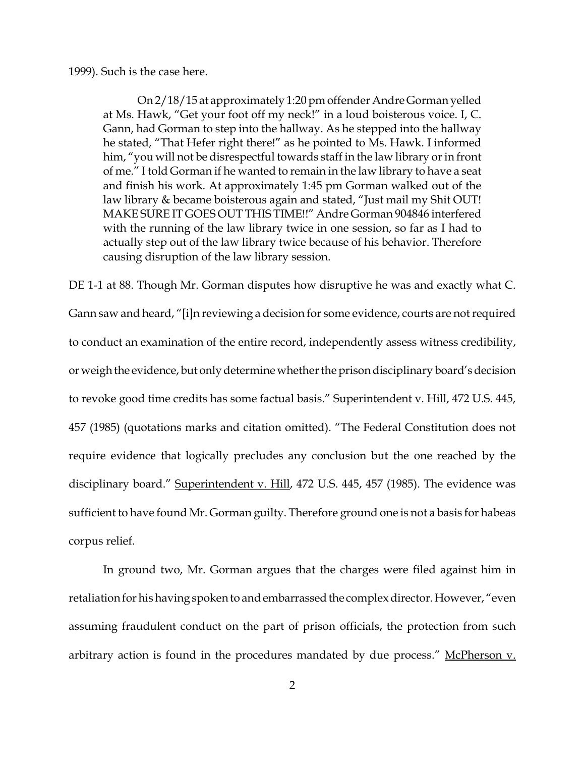1999). Such is the case here.

On 2/18/15 at approximately 1:20 pm offender Andre Gorman yelled at Ms. Hawk, "Get your foot off my neck!" in a loud boisterous voice. I, C. Gann, had Gorman to step into the hallway. As he stepped into the hallway he stated, "That Hefer right there!" as he pointed to Ms. Hawk. I informed him, "you will not be disrespectful towards staff in the law library or in front of me." I told Gorman if he wanted to remain in the law library to have a seat and finish his work. At approximately 1:45 pm Gorman walked out of the law library & became boisterous again and stated, "Just mail my Shit OUT! MAKE SURE IT GOES OUT THIS TIME!!" Andre Gorman 904846 interfered with the running of the law library twice in one session, so far as I had to actually step out of the law library twice because of his behavior. Therefore causing disruption of the law library session.

DE 1-1 at 88. Though Mr. Gorman disputes how disruptive he was and exactly what C. Gann saw and heard, "[i]n reviewing a decision for some evidence, courts are not required to conduct an examination of the entire record, independently assess witness credibility, or weigh the evidence, but only determine whether the prison disciplinary board's decision to revoke good time credits has some factual basis." Superintendent v. Hill, 472 U.S. 445, 457 (1985) (quotations marks and citation omitted). "The Federal Constitution does not require evidence that logically precludes any conclusion but the one reached by the disciplinary board." Superintendent v. Hill, 472 U.S. 445, 457 (1985). The evidence was sufficient to have found Mr. Gorman guilty. Therefore ground one is not a basis for habeas corpus relief.

In ground two, Mr. Gorman argues that the charges were filed against him in retaliation for his having spoken to and embarrassed the complex director. However, "even assuming fraudulent conduct on the part of prison officials, the protection from such arbitrary action is found in the procedures mandated by due process." McPherson v.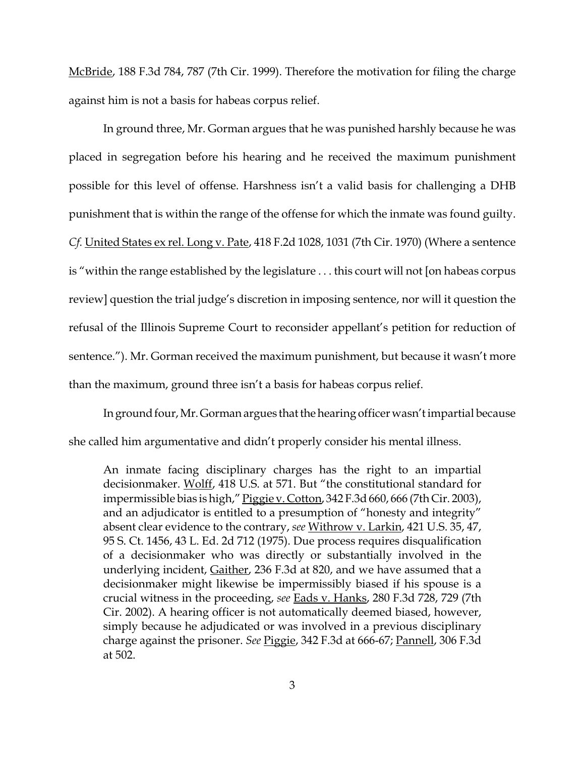McBride, 188 F.3d 784, 787 (7th Cir. 1999). Therefore the motivation for filing the charge against him is not a basis for habeas corpus relief.

In ground three, Mr. Gorman argues that he was punished harshly because he was placed in segregation before his hearing and he received the maximum punishment possible for this level of offense. Harshness isn't a valid basis for challenging a DHB punishment that is within the range of the offense for which the inmate was found guilty. *Cf.* United States ex rel. Long v. Pate, 418 F.2d 1028, 1031 (7th Cir. 1970) (Where a sentence is "within the range established by the legislature . . . this court will not [on habeas corpus review] question the trial judge's discretion in imposing sentence, nor will it question the refusal of the Illinois Supreme Court to reconsider appellant's petition for reduction of sentence."). Mr. Gorman received the maximum punishment, but because it wasn't more than the maximum, ground three isn't a basis for habeas corpus relief.

In ground four, Mr. Gorman argues that the hearing officer wasn't impartial because she called him argumentative and didn't properly consider his mental illness.

An inmate facing disciplinary charges has the right to an impartial decisionmaker. Wolff, 418 U.S. at 571. But "the constitutional standard for impermissible bias is high," Piggie v. Cotton, 342 F.3d 660, 666 (7th Cir. 2003), and an adjudicator is entitled to a presumption of "honesty and integrity" absent clear evidence to the contrary, *see* Withrow v. Larkin, 421 U.S. 35, 47, 95 S. Ct. 1456, 43 L. Ed. 2d 712 (1975). Due process requires disqualification of a decisionmaker who was directly or substantially involved in the underlying incident, Gaither, 236 F.3d at 820, and we have assumed that a decisionmaker might likewise be impermissibly biased if his spouse is a crucial witness in the proceeding, *see* Eads v. Hanks, 280 F.3d 728, 729 (7th Cir. 2002). A hearing officer is not automatically deemed biased, however, simply because he adjudicated or was involved in a previous disciplinary charge against the prisoner. *See* Piggie, 342 F.3d at 666-67; Pannell, 306 F.3d at 502.